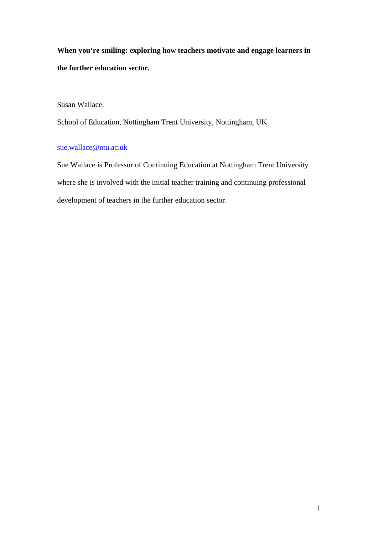**When you're smiling: exploring how teachers motivate and engage learners in the further education sector.** 

Susan Wallace,

School of Education, Nottingham Trent University, Nottingham, UK

## sue.wallace@ntu.ac.uk

Sue Wallace is Professor of Continuing Education at Nottingham Trent University where she is involved with the initial teacher training and continuing professional development of teachers in the further education sector.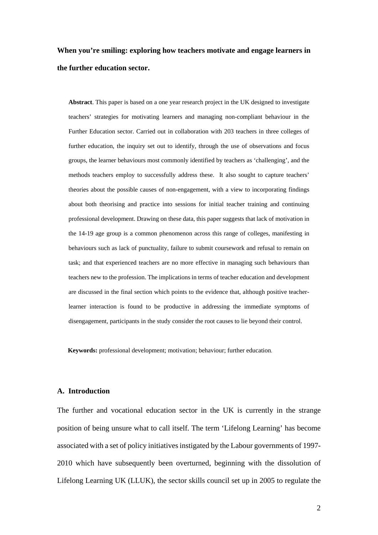# **When you're smiling: exploring how teachers motivate and engage learners in the further education sector.**

**Abstract**. This paper is based on a one year research project in the UK designed to investigate teachers' strategies for motivating learners and managing non-compliant behaviour in the Further Education sector. Carried out in collaboration with 203 teachers in three colleges of further education, the inquiry set out to identify, through the use of observations and focus groups, the learner behaviours most commonly identified by teachers as 'challenging', and the methods teachers employ to successfully address these. It also sought to capture teachers' theories about the possible causes of non-engagement, with a view to incorporating findings about both theorising and practice into sessions for initial teacher training and continuing professional development. Drawing on these data, this paper suggests that lack of motivation in the 14-19 age group is a common phenomenon across this range of colleges, manifesting in behaviours such as lack of punctuality, failure to submit coursework and refusal to remain on task; and that experienced teachers are no more effective in managing such behaviours than teachers new to the profession. The implications in terms of teacher education and development are discussed in the final section which points to the evidence that, although positive teacherlearner interaction is found to be productive in addressing the immediate symptoms of disengagement, participants in the study consider the root causes to lie beyond their control.

**Keywords:** professional development; motivation; behaviour; further education.

#### **A. Introduction**

The further and vocational education sector in the UK is currently in the strange position of being unsure what to call itself. The term 'Lifelong Learning' has become associated with a set of policy initiatives instigated by the Labour governments of 1997- 2010 which have subsequently been overturned, beginning with the dissolution of Lifelong Learning UK (LLUK), the sector skills council set up in 2005 to regulate the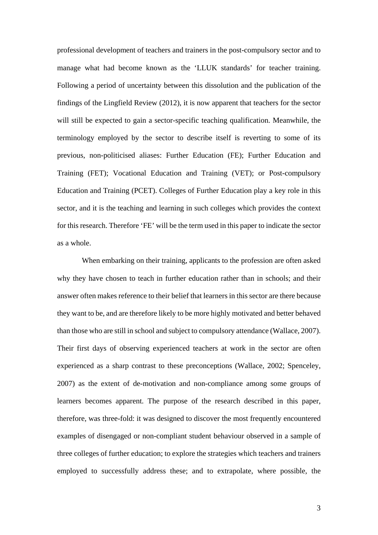professional development of teachers and trainers in the post-compulsory sector and to manage what had become known as the 'LLUK standards' for teacher training. Following a period of uncertainty between this dissolution and the publication of the findings of the Lingfield Review (2012), it is now apparent that teachers for the sector will still be expected to gain a sector-specific teaching qualification. Meanwhile, the terminology employed by the sector to describe itself is reverting to some of its previous, non-politicised aliases: Further Education (FE); Further Education and Training (FET); Vocational Education and Training (VET); or Post-compulsory Education and Training (PCET). Colleges of Further Education play a key role in this sector, and it is the teaching and learning in such colleges which provides the context for this research. Therefore 'FE' will be the term used in this paper to indicate the sector as a whole.

 When embarking on their training, applicants to the profession are often asked why they have chosen to teach in further education rather than in schools; and their answer often makes reference to their belief that learners in this sector are there because they want to be, and are therefore likely to be more highly motivated and better behaved than those who are still in school and subject to compulsory attendance (Wallace, 2007). Their first days of observing experienced teachers at work in the sector are often experienced as a sharp contrast to these preconceptions (Wallace, 2002; Spenceley, 2007) as the extent of de-motivation and non-compliance among some groups of learners becomes apparent. The purpose of the research described in this paper, therefore, was three-fold: it was designed to discover the most frequently encountered examples of disengaged or non-compliant student behaviour observed in a sample of three colleges of further education; to explore the strategies which teachers and trainers employed to successfully address these; and to extrapolate, where possible, the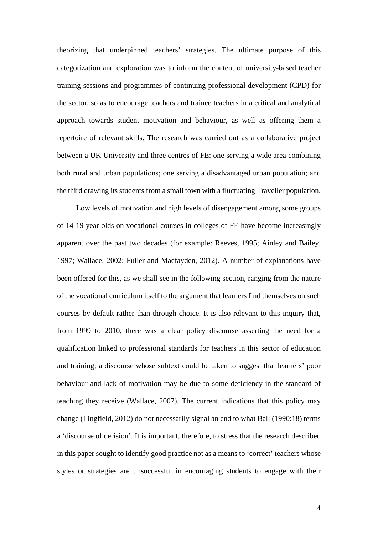theorizing that underpinned teachers' strategies. The ultimate purpose of this categorization and exploration was to inform the content of university-based teacher training sessions and programmes of continuing professional development (CPD) for the sector, so as to encourage teachers and trainee teachers in a critical and analytical approach towards student motivation and behaviour, as well as offering them a repertoire of relevant skills. The research was carried out as a collaborative project between a UK University and three centres of FE: one serving a wide area combining both rural and urban populations; one serving a disadvantaged urban population; and the third drawing its students from a small town with a fluctuating Traveller population.

 Low levels of motivation and high levels of disengagement among some groups of 14-19 year olds on vocational courses in colleges of FE have become increasingly apparent over the past two decades (for example: Reeves, 1995; Ainley and Bailey, 1997; Wallace, 2002; Fuller and Macfayden, 2012). A number of explanations have been offered for this, as we shall see in the following section, ranging from the nature of the vocational curriculum itself to the argument that learners find themselves on such courses by default rather than through choice. It is also relevant to this inquiry that, from 1999 to 2010, there was a clear policy discourse asserting the need for a qualification linked to professional standards for teachers in this sector of education and training; a discourse whose subtext could be taken to suggest that learners' poor behaviour and lack of motivation may be due to some deficiency in the standard of teaching they receive (Wallace, 2007). The current indications that this policy may change (Lingfield, 2012) do not necessarily signal an end to what Ball (1990:18) terms a 'discourse of derision'. It is important, therefore, to stress that the research described in this paper sought to identify good practice not as a means to 'correct' teachers whose styles or strategies are unsuccessful in encouraging students to engage with their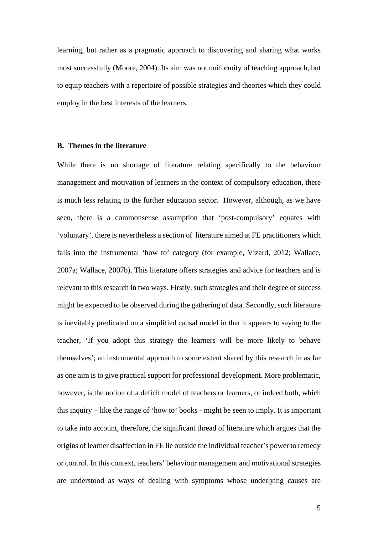learning, but rather as a pragmatic approach to discovering and sharing what works most successfully (Moore, 2004). Its aim was not uniformity of teaching approach, but to equip teachers with a repertoire of possible strategies and theories which they could employ in the best interests of the learners.

## **B. Themes in the literature**

While there is no shortage of literature relating specifically to the behaviour management and motivation of learners in the context of compulsory education, there is much less relating to the further education sector. However, although, as we have seen, there is a commonsense assumption that 'post-compulsory' equates with 'voluntary', there is nevertheless a section of literature aimed at FE practitioners which falls into the instrumental 'how to' category (for example, Vizard, 2012; Wallace, 2007a; Wallace, 2007b). This literature offers strategies and advice for teachers and is relevant to this research in two ways. Firstly, such strategies and their degree of success might be expected to be observed during the gathering of data. Secondly, such literature is inevitably predicated on a simplified causal model in that it appears to saying to the teacher, 'If you adopt this strategy the learners will be more likely to behave themselves'; an instrumental approach to some extent shared by this research in as far as one aim is to give practical support for professional development. More problematic, however, is the notion of a deficit model of teachers or learners, or indeed both, which this inquiry – like the range of 'how to' books - might be seen to imply. It is important to take into account, therefore, the significant thread of literature which argues that the origins of learner disaffection in FE lie outside the individual teacher's power to remedy or control. In this context, teachers' behaviour management and motivational strategies are understood as ways of dealing with symptoms whose underlying causes are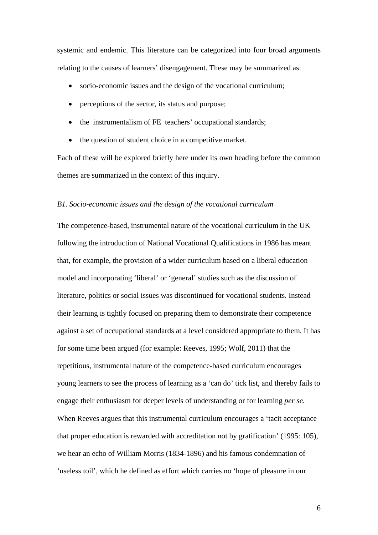systemic and endemic. This literature can be categorized into four broad arguments relating to the causes of learners' disengagement. These may be summarized as:

- socio-economic issues and the design of the vocational curriculum;
- perceptions of the sector, its status and purpose;
- the instrumentalism of FE teachers' occupational standards;
- the question of student choice in a competitive market.

Each of these will be explored briefly here under its own heading before the common themes are summarized in the context of this inquiry.

### *B1. Socio-economic issues and the design of the vocational curriculum*

The competence-based, instrumental nature of the vocational curriculum in the UK following the introduction of National Vocational Qualifications in 1986 has meant that, for example, the provision of a wider curriculum based on a liberal education model and incorporating 'liberal' or 'general' studies such as the discussion of literature, politics or social issues was discontinued for vocational students. Instead their learning is tightly focused on preparing them to demonstrate their competence against a set of occupational standards at a level considered appropriate to them. It has for some time been argued (for example: Reeves, 1995; Wolf, 2011) that the repetitious, instrumental nature of the competence-based curriculum encourages young learners to see the process of learning as a 'can do' tick list, and thereby fails to engage their enthusiasm for deeper levels of understanding or for learning *per se*. When Reeves argues that this instrumental curriculum encourages a 'tacit acceptance that proper education is rewarded with accreditation not by gratification' (1995: 105), we hear an echo of William Morris (1834-1896) and his famous condemnation of 'useless toil', which he defined as effort which carries no 'hope of pleasure in our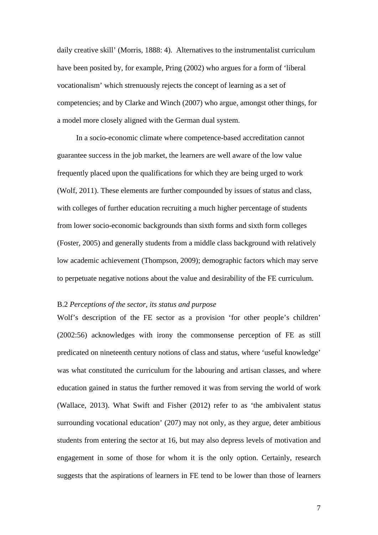daily creative skill' (Morris, 1888: 4). Alternatives to the instrumentalist curriculum have been posited by, for example, Pring (2002) who argues for a form of 'liberal vocationalism' which strenuously rejects the concept of learning as a set of competencies; and by Clarke and Winch (2007) who argue, amongst other things, for a model more closely aligned with the German dual system.

 In a socio-economic climate where competence-based accreditation cannot guarantee success in the job market, the learners are well aware of the low value frequently placed upon the qualifications for which they are being urged to work (Wolf, 2011). These elements are further compounded by issues of status and class, with colleges of further education recruiting a much higher percentage of students from lower socio-economic backgrounds than sixth forms and sixth form colleges (Foster, 2005) and generally students from a middle class background with relatively low academic achievement (Thompson, 2009); demographic factors which may serve to perpetuate negative notions about the value and desirability of the FE curriculum.

## B.2 *Perceptions of the sector, its status and purpose*

Wolf's description of the FE sector as a provision 'for other people's children' (2002:56) acknowledges with irony the commonsense perception of FE as still predicated on nineteenth century notions of class and status, where 'useful knowledge' was what constituted the curriculum for the labouring and artisan classes, and where education gained in status the further removed it was from serving the world of work (Wallace, 2013). What Swift and Fisher (2012) refer to as 'the ambivalent status surrounding vocational education' (207) may not only, as they argue, deter ambitious students from entering the sector at 16, but may also depress levels of motivation and engagement in some of those for whom it is the only option. Certainly, research suggests that the aspirations of learners in FE tend to be lower than those of learners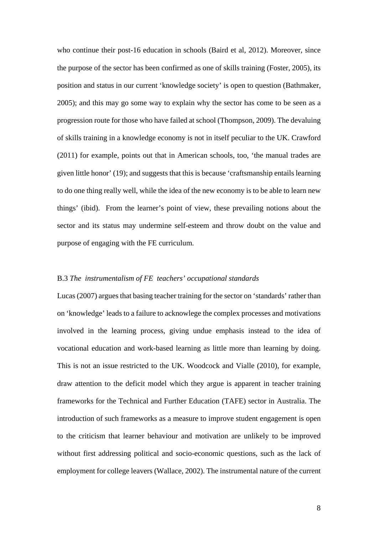who continue their post-16 education in schools (Baird et al, 2012). Moreover, since the purpose of the sector has been confirmed as one of skills training (Foster, 2005), its position and status in our current 'knowledge society' is open to question (Bathmaker, 2005); and this may go some way to explain why the sector has come to be seen as a progression route for those who have failed at school (Thompson, 2009). The devaluing of skills training in a knowledge economy is not in itself peculiar to the UK. Crawford (2011) for example, points out that in American schools, too, 'the manual trades are given little honor' (19); and suggests that this is because 'craftsmanship entails learning to do one thing really well, while the idea of the new economy is to be able to learn new things' (ibid). From the learner's point of view, these prevailing notions about the sector and its status may undermine self-esteem and throw doubt on the value and purpose of engaging with the FE curriculum.

#### B.3 *The instrumentalism of FE teachers' occupational standards*

Lucas (2007) argues that basing teacher training for the sector on 'standards' rather than on 'knowledge' leads to a failure to acknowlege the complex processes and motivations involved in the learning process, giving undue emphasis instead to the idea of vocational education and work-based learning as little more than learning by doing. This is not an issue restricted to the UK. Woodcock and Vialle (2010), for example, draw attention to the deficit model which they argue is apparent in teacher training frameworks for the Technical and Further Education (TAFE) sector in Australia. The introduction of such frameworks as a measure to improve student engagement is open to the criticism that learner behaviour and motivation are unlikely to be improved without first addressing political and socio-economic questions, such as the lack of employment for college leavers (Wallace, 2002). The instrumental nature of the current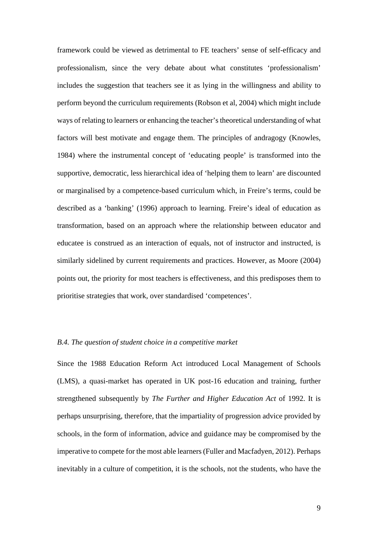framework could be viewed as detrimental to FE teachers' sense of self-efficacy and professionalism, since the very debate about what constitutes 'professionalism' includes the suggestion that teachers see it as lying in the willingness and ability to perform beyond the curriculum requirements (Robson et al, 2004) which might include ways of relating to learners or enhancing the teacher's theoretical understanding of what factors will best motivate and engage them. The principles of andragogy (Knowles, 1984) where the instrumental concept of 'educating people' is transformed into the supportive, democratic, less hierarchical idea of 'helping them to learn' are discounted or marginalised by a competence-based curriculum which, in Freire's terms, could be described as a 'banking' (1996) approach to learning. Freire's ideal of education as transformation, based on an approach where the relationship between educator and educatee is construed as an interaction of equals, not of instructor and instructed, is similarly sidelined by current requirements and practices. However, as Moore (2004) points out, the priority for most teachers is effectiveness, and this predisposes them to prioritise strategies that work, over standardised 'competences'.

#### *B.4. The question of student choice in a competitive market*

Since the 1988 Education Reform Act introduced Local Management of Schools (LMS), a quasi-market has operated in UK post-16 education and training, further strengthened subsequently by *The Further and Higher Education Act* of 1992. It is perhaps unsurprising, therefore, that the impartiality of progression advice provided by schools, in the form of information, advice and guidance may be compromised by the imperative to compete for the most able learners (Fuller and Macfadyen, 2012). Perhaps inevitably in a culture of competition, it is the schools, not the students, who have the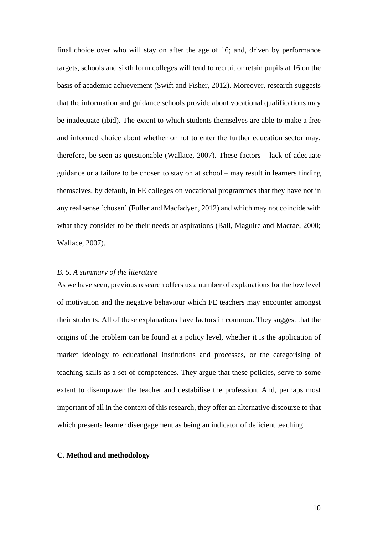final choice over who will stay on after the age of 16; and, driven by performance targets, schools and sixth form colleges will tend to recruit or retain pupils at 16 on the basis of academic achievement (Swift and Fisher, 2012). Moreover, research suggests that the information and guidance schools provide about vocational qualifications may be inadequate (ibid). The extent to which students themselves are able to make a free and informed choice about whether or not to enter the further education sector may, therefore, be seen as questionable (Wallace, 2007). These factors – lack of adequate guidance or a failure to be chosen to stay on at school – may result in learners finding themselves, by default, in FE colleges on vocational programmes that they have not in any real sense 'chosen' (Fuller and Macfadyen, 2012) and which may not coincide with what they consider to be their needs or aspirations (Ball, Maguire and Macrae, 2000; Wallace, 2007).

## *B. 5. A summary of the literature*

As we have seen, previous research offers us a number of explanations for the low level of motivation and the negative behaviour which FE teachers may encounter amongst their students. All of these explanations have factors in common. They suggest that the origins of the problem can be found at a policy level, whether it is the application of market ideology to educational institutions and processes, or the categorising of teaching skills as a set of competences. They argue that these policies, serve to some extent to disempower the teacher and destabilise the profession. And, perhaps most important of all in the context of this research, they offer an alternative discourse to that which presents learner disengagement as being an indicator of deficient teaching.

#### **C. Method and methodology**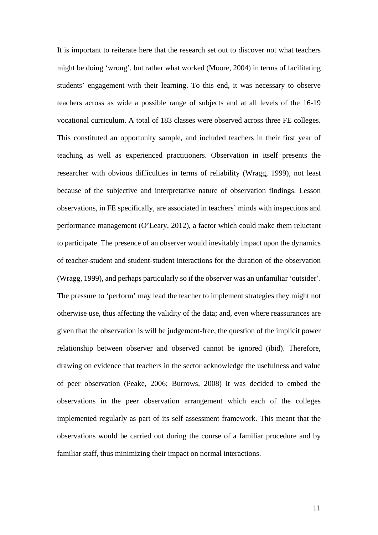It is important to reiterate here that the research set out to discover not what teachers might be doing 'wrong', but rather what worked (Moore, 2004) in terms of facilitating students' engagement with their learning. To this end, it was necessary to observe teachers across as wide a possible range of subjects and at all levels of the 16-19 vocational curriculum. A total of 183 classes were observed across three FE colleges. This constituted an opportunity sample, and included teachers in their first year of teaching as well as experienced practitioners. Observation in itself presents the researcher with obvious difficulties in terms of reliability (Wragg, 1999), not least because of the subjective and interpretative nature of observation findings. Lesson observations, in FE specifically, are associated in teachers' minds with inspections and performance management (O'Leary, 2012), a factor which could make them reluctant to participate. The presence of an observer would inevitably impact upon the dynamics of teacher-student and student-student interactions for the duration of the observation (Wragg, 1999), and perhaps particularly so if the observer was an unfamiliar 'outsider'. The pressure to 'perform' may lead the teacher to implement strategies they might not otherwise use, thus affecting the validity of the data; and, even where reassurances are given that the observation is will be judgement-free, the question of the implicit power relationship between observer and observed cannot be ignored (ibid). Therefore, drawing on evidence that teachers in the sector acknowledge the usefulness and value of peer observation (Peake, 2006; Burrows, 2008) it was decided to embed the observations in the peer observation arrangement which each of the colleges implemented regularly as part of its self assessment framework. This meant that the observations would be carried out during the course of a familiar procedure and by familiar staff, thus minimizing their impact on normal interactions.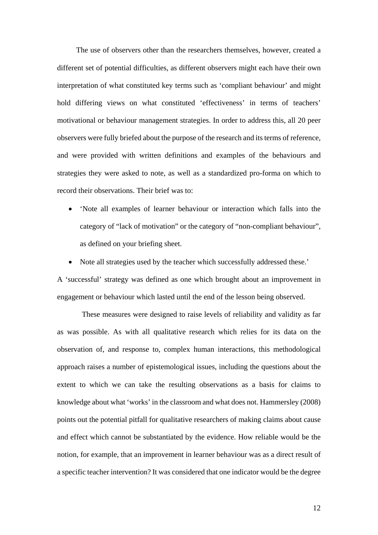The use of observers other than the researchers themselves, however, created a different set of potential difficulties, as different observers might each have their own interpretation of what constituted key terms such as 'compliant behaviour' and might hold differing views on what constituted 'effectiveness' in terms of teachers' motivational or behaviour management strategies. In order to address this, all 20 peer observers were fully briefed about the purpose of the research and its terms of reference, and were provided with written definitions and examples of the behaviours and strategies they were asked to note, as well as a standardized pro-forma on which to record their observations. Their brief was to:

- 'Note all examples of learner behaviour or interaction which falls into the category of "lack of motivation" or the category of "non-compliant behaviour", as defined on your briefing sheet.
- Note all strategies used by the teacher which successfully addressed these.'

A 'successful' strategy was defined as one which brought about an improvement in engagement or behaviour which lasted until the end of the lesson being observed.

 These measures were designed to raise levels of reliability and validity as far as was possible. As with all qualitative research which relies for its data on the observation of, and response to, complex human interactions, this methodological approach raises a number of epistemological issues, including the questions about the extent to which we can take the resulting observations as a basis for claims to knowledge about what 'works' in the classroom and what does not. Hammersley (2008) points out the potential pitfall for qualitative researchers of making claims about cause and effect which cannot be substantiated by the evidence. How reliable would be the notion, for example, that an improvement in learner behaviour was as a direct result of a specific teacher intervention? It was considered that one indicator would be the degree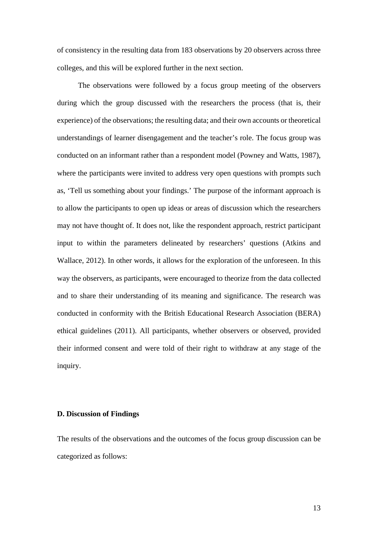of consistency in the resulting data from 183 observations by 20 observers across three colleges, and this will be explored further in the next section.

 The observations were followed by a focus group meeting of the observers during which the group discussed with the researchers the process (that is, their experience) of the observations; the resulting data; and their own accounts or theoretical understandings of learner disengagement and the teacher's role. The focus group was conducted on an informant rather than a respondent model (Powney and Watts, 1987), where the participants were invited to address very open questions with prompts such as, 'Tell us something about your findings.' The purpose of the informant approach is to allow the participants to open up ideas or areas of discussion which the researchers may not have thought of. It does not, like the respondent approach, restrict participant input to within the parameters delineated by researchers' questions (Atkins and Wallace, 2012). In other words, it allows for the exploration of the unforeseen. In this way the observers, as participants, were encouraged to theorize from the data collected and to share their understanding of its meaning and significance. The research was conducted in conformity with the British Educational Research Association (BERA) ethical guidelines (2011). All participants, whether observers or observed, provided their informed consent and were told of their right to withdraw at any stage of the inquiry.

## **D. Discussion of Findings**

The results of the observations and the outcomes of the focus group discussion can be categorized as follows: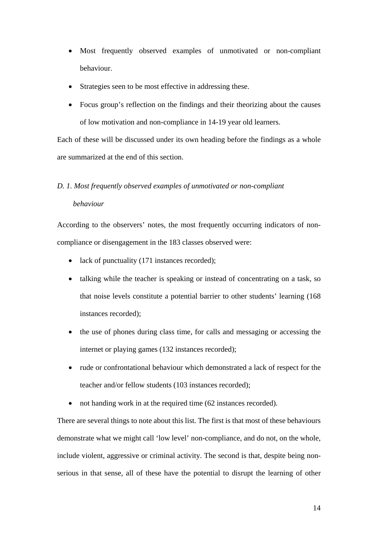- Most frequently observed examples of unmotivated or non-compliant behaviour.
- Strategies seen to be most effective in addressing these.
- Focus group's reflection on the findings and their theorizing about the causes of low motivation and non-compliance in 14-19 year old learners.

Each of these will be discussed under its own heading before the findings as a whole are summarized at the end of this section.

## *D. 1. Most frequently observed examples of unmotivated or non-compliant*

### *behaviour*

According to the observers' notes, the most frequently occurring indicators of noncompliance or disengagement in the 183 classes observed were:

- lack of punctuality (171 instances recorded);
- talking while the teacher is speaking or instead of concentrating on a task, so that noise levels constitute a potential barrier to other students' learning (168 instances recorded);
- the use of phones during class time, for calls and messaging or accessing the internet or playing games (132 instances recorded);
- rude or confrontational behaviour which demonstrated a lack of respect for the teacher and/or fellow students (103 instances recorded);
- not handing work in at the required time (62 instances recorded).

There are several things to note about this list. The first is that most of these behaviours demonstrate what we might call 'low level' non-compliance, and do not, on the whole, include violent, aggressive or criminal activity. The second is that, despite being nonserious in that sense, all of these have the potential to disrupt the learning of other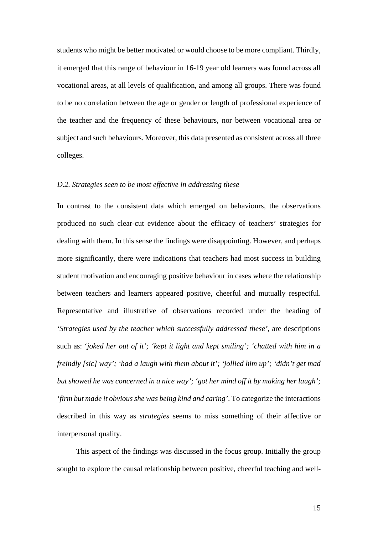students who might be better motivated or would choose to be more compliant. Thirdly, it emerged that this range of behaviour in 16-19 year old learners was found across all vocational areas, at all levels of qualification, and among all groups. There was found to be no correlation between the age or gender or length of professional experience of the teacher and the frequency of these behaviours, nor between vocational area or subject and such behaviours. Moreover, this data presented as consistent across all three colleges.

### *D.2. Strategies seen to be most effective in addressing these*

In contrast to the consistent data which emerged on behaviours, the observations produced no such clear-cut evidence about the efficacy of teachers' strategies for dealing with them. In this sense the findings were disappointing. However, and perhaps more significantly, there were indications that teachers had most success in building student motivation and encouraging positive behaviour in cases where the relationship between teachers and learners appeared positive, cheerful and mutually respectful. Representative and illustrative of observations recorded under the heading of '*Strategies used by the teacher which successfully addressed these'*, are descriptions such as: '*joked her out of it'; 'kept it light and kept smiling'; 'chatted with him in a freindly [sic] way'; 'had a laugh with them about it'; 'jollied him up'; 'didn't get mad but showed he was concerned in a nice way'; 'got her mind off it by making her laugh'; 'firm but made it obvious she was being kind and caring'*. To categorize the interactions described in this way as *strategies* seems to miss something of their affective or interpersonal quality.

 This aspect of the findings was discussed in the focus group. Initially the group sought to explore the causal relationship between positive, cheerful teaching and well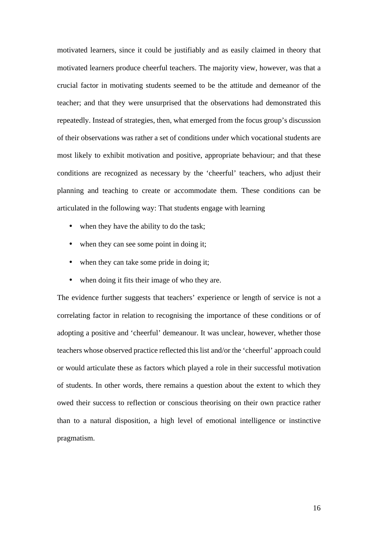motivated learners, since it could be justifiably and as easily claimed in theory that motivated learners produce cheerful teachers. The majority view, however, was that a crucial factor in motivating students seemed to be the attitude and demeanor of the teacher; and that they were unsurprised that the observations had demonstrated this repeatedly. Instead of strategies, then, what emerged from the focus group's discussion of their observations was rather a set of conditions under which vocational students are most likely to exhibit motivation and positive, appropriate behaviour; and that these conditions are recognized as necessary by the 'cheerful' teachers, who adjust their planning and teaching to create or accommodate them. These conditions can be articulated in the following way: That students engage with learning

- when they have the ability to do the task;
- when they can see some point in doing it;
- when they can take some pride in doing it;
- when doing it fits their image of who they are.

The evidence further suggests that teachers' experience or length of service is not a correlating factor in relation to recognising the importance of these conditions or of adopting a positive and 'cheerful' demeanour. It was unclear, however, whether those teachers whose observed practice reflected this list and/or the 'cheerful' approach could or would articulate these as factors which played a role in their successful motivation of students. In other words, there remains a question about the extent to which they owed their success to reflection or conscious theorising on their own practice rather than to a natural disposition, a high level of emotional intelligence or instinctive pragmatism.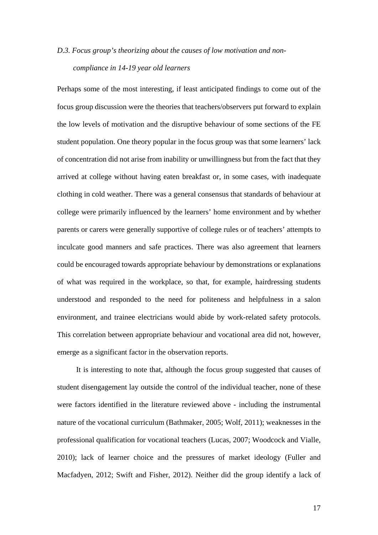# *D.3. Focus group's theorizing about the causes of low motivation and noncompliance in 14-19 year old learners*

Perhaps some of the most interesting, if least anticipated findings to come out of the focus group discussion were the theories that teachers/observers put forward to explain the low levels of motivation and the disruptive behaviour of some sections of the FE student population. One theory popular in the focus group was that some learners' lack of concentration did not arise from inability or unwillingness but from the fact that they arrived at college without having eaten breakfast or, in some cases, with inadequate clothing in cold weather. There was a general consensus that standards of behaviour at college were primarily influenced by the learners' home environment and by whether parents or carers were generally supportive of college rules or of teachers' attempts to inculcate good manners and safe practices. There was also agreement that learners could be encouraged towards appropriate behaviour by demonstrations or explanations of what was required in the workplace, so that, for example, hairdressing students understood and responded to the need for politeness and helpfulness in a salon environment, and trainee electricians would abide by work-related safety protocols. This correlation between appropriate behaviour and vocational area did not, however, emerge as a significant factor in the observation reports.

 It is interesting to note that, although the focus group suggested that causes of student disengagement lay outside the control of the individual teacher, none of these were factors identified in the literature reviewed above - including the instrumental nature of the vocational curriculum (Bathmaker, 2005; Wolf, 2011); weaknesses in the professional qualification for vocational teachers (Lucas, 2007; Woodcock and Vialle, 2010); lack of learner choice and the pressures of market ideology (Fuller and Macfadyen, 2012; Swift and Fisher, 2012). Neither did the group identify a lack of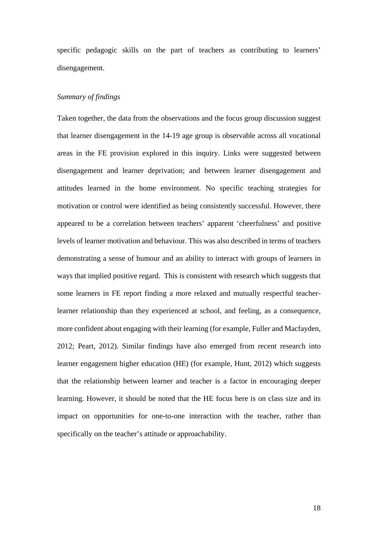specific pedagogic skills on the part of teachers as contributing to learners' disengagement.

### *Summary of findings*

Taken together, the data from the observations and the focus group discussion suggest that learner disengagement in the 14-19 age group is observable across all vocational areas in the FE provision explored in this inquiry. Links were suggested between disengagement and learner deprivation; and between learner disengagement and attitudes learned in the home environment. No specific teaching strategies for motivation or control were identified as being consistently successful. However, there appeared to be a correlation between teachers' apparent 'cheerfulness' and positive levels of learner motivation and behaviour. This was also described in terms of teachers demonstrating a sense of humour and an ability to interact with groups of learners in ways that implied positive regard. This is consistent with research which suggests that some learners in FE report finding a more relaxed and mutually respectful teacherlearner relationship than they experienced at school, and feeling, as a consequence, more confident about engaging with their learning (for example, Fuller and Macfayden, 2012; Peart, 2012). Similar findings have also emerged from recent research into learner engagement higher education (HE) (for example, Hunt, 2012) which suggests that the relationship between learner and teacher is a factor in encouraging deeper learning. However, it should be noted that the HE focus here is on class size and its impact on opportunities for one-to-one interaction with the teacher, rather than specifically on the teacher's attitude or approachability.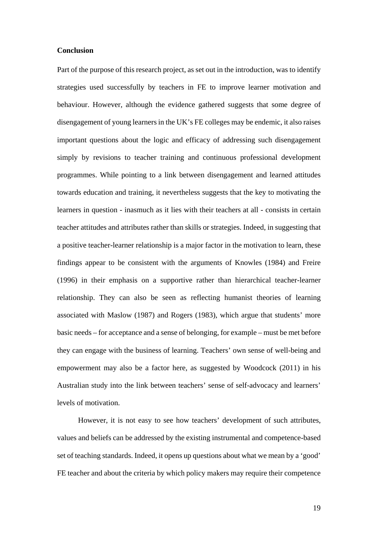#### **Conclusion**

Part of the purpose of this research project, as set out in the introduction, was to identify strategies used successfully by teachers in FE to improve learner motivation and behaviour. However, although the evidence gathered suggests that some degree of disengagement of young learners in the UK's FE colleges may be endemic, it also raises important questions about the logic and efficacy of addressing such disengagement simply by revisions to teacher training and continuous professional development programmes. While pointing to a link between disengagement and learned attitudes towards education and training, it nevertheless suggests that the key to motivating the learners in question - inasmuch as it lies with their teachers at all - consists in certain teacher attitudes and attributes rather than skills or strategies. Indeed, in suggesting that a positive teacher-learner relationship is a major factor in the motivation to learn, these findings appear to be consistent with the arguments of Knowles (1984) and Freire (1996) in their emphasis on a supportive rather than hierarchical teacher-learner relationship. They can also be seen as reflecting humanist theories of learning associated with Maslow (1987) and Rogers (1983), which argue that students' more basic needs – for acceptance and a sense of belonging, for example – must be met before they can engage with the business of learning. Teachers' own sense of well-being and empowerment may also be a factor here, as suggested by Woodcock (2011) in his Australian study into the link between teachers' sense of self-advocacy and learners' levels of motivation.

 However, it is not easy to see how teachers' development of such attributes, values and beliefs can be addressed by the existing instrumental and competence-based set of teaching standards. Indeed, it opens up questions about what we mean by a 'good' FE teacher and about the criteria by which policy makers may require their competence

19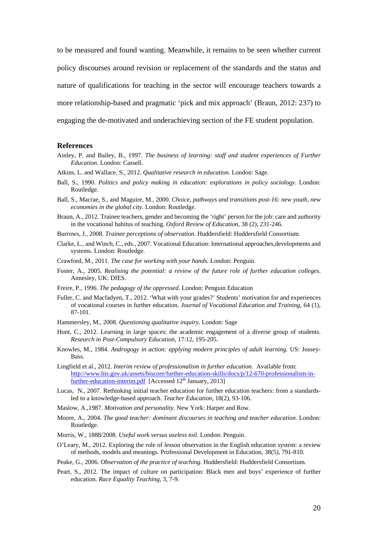to be measured and found wanting. Meanwhile, it remains to be seen whether current policy discourses around revision or replacement of the standards and the status and nature of qualifications for teaching in the sector will encourage teachers towards a more relationship-based and pragmatic 'pick and mix approach' (Braun, 2012: 237) to engaging the de-motivated and underachieving section of the FE student population.

#### **References**

- Ainley, P. and Bailey, B., 1997. *The business of learning: staff and student experiences of Further Education*. London: Cassell.
- Atkins, L. and Wallace, S., 2012. *Qualitative research in education*. London: Sage.
- Ball, S., 1990. *Politics and policy making in education: explorations in policy sociology*. London: Routledge.
- Ball, S., Macrae, S., and Maguire, M., 2000. *Choice, pathways and transitions post-16: new youth, new economies in the global city.* London: Routledge.
- Braun, A., 2012. Trainee teachers, gender and becoming the 'right' person for the job: care and authority in the vocational habitus of teaching. *Oxford Review of Education,* 38 (2), 231-246.
- Burrows, J., 2008. *Trainee perceptions of observation.* Huddersfield: Huddersfield Consortium.
- Clarke, L., and Winch, C., eds., 2007. Vocational Education: International approaches,developments and systems. London: Routledge.
- Crawford, M., 2011. *The case for working with your hands.* London: Penguin.
- Foster, A., 2005. *Realising the potential: a review of the future role of further education colleges*. Annesley, UK: DfES.
- Freire, P., 1996. *The pedagogy of the oppressed*. London: Penguin Education
- Fuller, C. and Macfadyen, T., 2012. 'What with your grades?' Students' motivation for and experiences of vocational courses in further education. *Journal of Vocational Education and Training*, 64 (1), 87-101.
- Hammersley, M., 2008. *Questioning qualitative inquiry*. London: Sage
- Hunt, C., 2012. Learning in large spaces: the academic engagement of a diverse group of students. *Research in Post-Compulsory Education*, 17:12, 195-205.
- Knowles, M., 1984. *Androgogy in action: applying modern principles of adult learning*. US: Jossey-**Bass**.
- Lingfield et al., 2012. *Interim review of professionalism in further education*. Available from: http://www.bis.gov.uk/assets/biscore/further-education-skills/docs/p/12-670-professionalism-infurther-education-interim.pdf [Accessed 12<sup>th</sup> January, 2013]
- Lucas, N., 2007. Rethinking initial teacher education for further education teachers: from a standardsled to a knowledge-based approach. *Teacher Education*, 18(2), 93-106.
- Maslow, A.,1987. *Motivation and personality*. New York: Harper and Row.
- Moore, A., 2004. *The good teacher: dominant discourses in teaching and teacher education*. London: Routledge.
- Morris, W., 1888/2008. *Useful work versus useless toil.* London: Penguin.
- O'Leary, M., 2012. Exploring the role of lesson observation in the English education system: a review of methods, models and meanings. Professional Development in Education, 38(5), 791-810.
- Peake, G., 2006. *Observation of the practice of teaching*. Huddersfield: Huddersfield Consortium.
- Peart, S., 2012. The impact of culture on participation: Black men and boys' experience of further education. *Race Equality Teaching*, 3, 7-9.